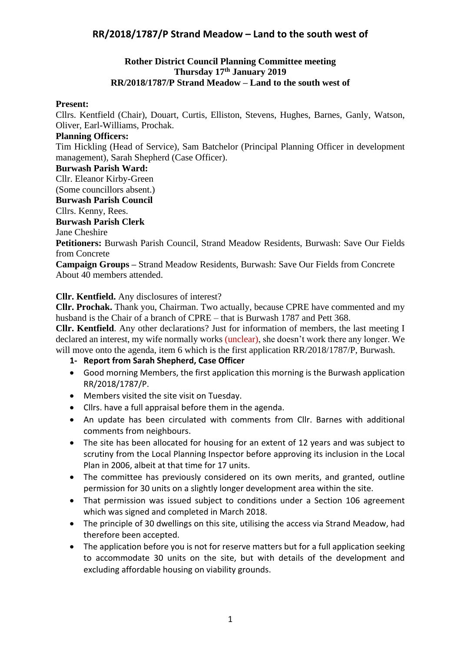### **Rother District Council Planning Committee meeting Thursday 17th January 2019 RR/2018/1787/P Strand Meadow – Land to the south west of**

#### **Present:**

Cllrs. Kentfield (Chair), Douart, Curtis, Elliston, Stevens, Hughes, Barnes, Ganly, Watson, Oliver, Earl-Williams, Prochak.

#### **Planning Officers:**

Tim Hickling (Head of Service), Sam Batchelor (Principal Planning Officer in development management), Sarah Shepherd (Case Officer).

#### **Burwash Parish Ward:**

Cllr. Eleanor Kirby-Green

(Some councillors absent.)

**Burwash Parish Council**

Cllrs. Kenny, Rees.

#### **Burwash Parish Clerk**

Jane Cheshire

**Petitioners:** Burwash Parish Council, Strand Meadow Residents, Burwash: Save Our Fields from Concrete

**Campaign Groups –** Strand Meadow Residents, Burwash: Save Our Fields from Concrete About 40 members attended.

#### **Cllr. Kentfield.** Any disclosures of interest?

**Cllr. Prochak.** Thank you, Chairman. Two actually, because CPRE have commented and my husband is the Chair of a branch of CPRE – that is Burwash 1787 and Pett 368.

**Cllr. Kentfield**. Any other declarations? Just for information of members, the last meeting I declared an interest, my wife normally works (unclear), she doesn't work there any longer. We will move onto the agenda, item 6 which is the first application RR/2018/1787/P, Burwash.

#### **1- Report from Sarah Shepherd, Case Officer**

- Good morning Members, the first application this morning is the Burwash application RR/2018/1787/P.
- Members visited the site visit on Tuesday.
- Cllrs. have a full appraisal before them in the agenda.
- An update has been circulated with comments from Cllr. Barnes with additional comments from neighbours.
- The site has been allocated for housing for an extent of 12 years and was subject to scrutiny from the Local Planning Inspector before approving its inclusion in the Local Plan in 2006, albeit at that time for 17 units.
- The committee has previously considered on its own merits, and granted, outline permission for 30 units on a slightly longer development area within the site.
- That permission was issued subject to conditions under a Section 106 agreement which was signed and completed in March 2018.
- The principle of 30 dwellings on this site, utilising the access via Strand Meadow, had therefore been accepted.
- The application before you is not for reserve matters but for a full application seeking to accommodate 30 units on the site, but with details of the development and excluding affordable housing on viability grounds.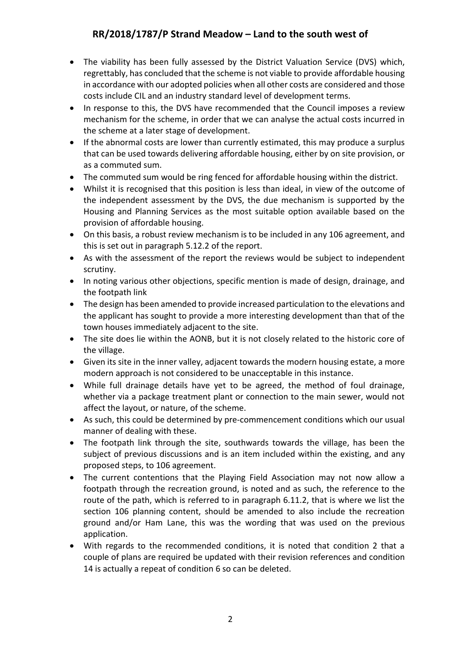- The viability has been fully assessed by the District Valuation Service (DVS) which, regrettably, has concluded that the scheme is not viable to provide affordable housing in accordance with our adopted policies when all other costs are considered and those costs include CIL and an industry standard level of development terms.
- In response to this, the DVS have recommended that the Council imposes a review mechanism for the scheme, in order that we can analyse the actual costs incurred in the scheme at a later stage of development.
- If the abnormal costs are lower than currently estimated, this may produce a surplus that can be used towards delivering affordable housing, either by on site provision, or as a commuted sum.
- The commuted sum would be ring fenced for affordable housing within the district.
- Whilst it is recognised that this position is less than ideal, in view of the outcome of the independent assessment by the DVS, the due mechanism is supported by the Housing and Planning Services as the most suitable option available based on the provision of affordable housing.
- On this basis, a robust review mechanism is to be included in any 106 agreement, and this is set out in paragraph 5.12.2 of the report.
- As with the assessment of the report the reviews would be subject to independent scrutiny.
- In noting various other objections, specific mention is made of design, drainage, and the footpath link
- The design has been amended to provide increased particulation to the elevations and the applicant has sought to provide a more interesting development than that of the town houses immediately adjacent to the site.
- The site does lie within the AONB, but it is not closely related to the historic core of the village.
- Given its site in the inner valley, adjacent towards the modern housing estate, a more modern approach is not considered to be unacceptable in this instance.
- While full drainage details have yet to be agreed, the method of foul drainage, whether via a package treatment plant or connection to the main sewer, would not affect the layout, or nature, of the scheme.
- As such, this could be determined by pre-commencement conditions which our usual manner of dealing with these.
- The footpath link through the site, southwards towards the village, has been the subject of previous discussions and is an item included within the existing, and any proposed steps, to 106 agreement.
- The current contentions that the Playing Field Association may not now allow a footpath through the recreation ground, is noted and as such, the reference to the route of the path, which is referred to in paragraph 6.11.2, that is where we list the section 106 planning content, should be amended to also include the recreation ground and/or Ham Lane, this was the wording that was used on the previous application.
- With regards to the recommended conditions, it is noted that condition 2 that a couple of plans are required be updated with their revision references and condition 14 is actually a repeat of condition 6 so can be deleted.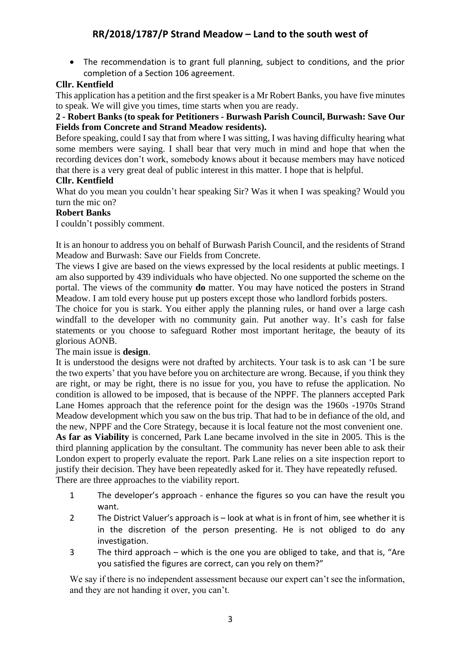• The recommendation is to grant full planning, subject to conditions, and the prior completion of a Section 106 agreement.

### **Cllr. Kentfield**

This application has a petition and the first speaker is a Mr Robert Banks, you have five minutes to speak. We will give you times, time starts when you are ready.

### **2 - Robert Banks (to speak for Petitioners - Burwash Parish Council, Burwash: Save Our Fields from Concrete and Strand Meadow residents).**

Before speaking, could I say that from where I was sitting, I was having difficulty hearing what some members were saying. I shall bear that very much in mind and hope that when the recording devices don't work, somebody knows about it because members may have noticed that there is a very great deal of public interest in this matter. I hope that is helpful.

### **Cllr. Kentfield**

What do you mean you couldn't hear speaking Sir? Was it when I was speaking? Would you turn the mic on?

### **Robert Banks**

I couldn't possibly comment.

It is an honour to address you on behalf of Burwash Parish Council, and the residents of Strand Meadow and Burwash: Save our Fields from Concrete.

The views I give are based on the views expressed by the local residents at public meetings. I am also supported by 439 individuals who have objected. No one supported the scheme on the portal. The views of the community **do** matter. You may have noticed the posters in Strand Meadow. I am told every house put up posters except those who landlord forbids posters.

The choice for you is stark. You either apply the planning rules, or hand over a large cash windfall to the developer with no community gain. Put another way. It's cash for false statements or you choose to safeguard Rother most important heritage, the beauty of its glorious AONB.

### The main issue is **design**.

It is understood the designs were not drafted by architects. Your task is to ask can 'I be sure the two experts' that you have before you on architecture are wrong. Because, if you think they are right, or may be right, there is no issue for you, you have to refuse the application. No condition is allowed to be imposed, that is because of the NPPF. The planners accepted Park Lane Homes approach that the reference point for the design was the 1960s -1970s Strand Meadow development which you saw on the bus trip. That had to be in defiance of the old, and the new, NPPF and the Core Strategy, because it is local feature not the most convenient one. **As far as Viability** is concerned, Park Lane became involved in the site in 2005. This is the third planning application by the consultant. The community has never been able to ask their London expert to properly evaluate the report. Park Lane relies on a site inspection report to

justify their decision. They have been repeatedly asked for it. They have repeatedly refused. There are three approaches to the viability report.

- 1 The developer's approach enhance the figures so you can have the result you want.
- 2 The District Valuer's approach is look at what is in front of him, see whether it is in the discretion of the person presenting. He is not obliged to do any investigation.
- 3 The third approach which is the one you are obliged to take, and that is, "Are you satisfied the figures are correct, can you rely on them?"

We say if there is no independent assessment because our expert can't see the information, and they are not handing it over, you can't.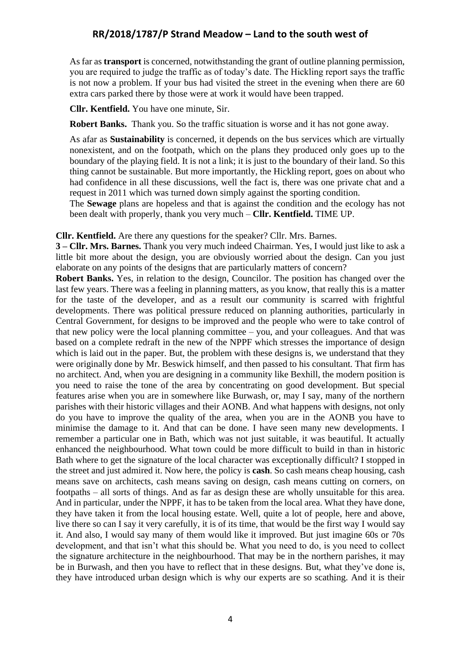As far as **transport** is concerned, notwithstanding the grant of outline planning permission, you are required to judge the traffic as of today's date. The Hickling report says the traffic is not now a problem. If your bus had visited the street in the evening when there are 60 extra cars parked there by those were at work it would have been trapped.

**Cllr. Kentfield.** You have one minute, Sir.

**Robert Banks.** Thank you. So the traffic situation is worse and it has not gone away.

As afar as **Sustainability** is concerned, it depends on the bus services which are virtually nonexistent, and on the footpath, which on the plans they produced only goes up to the boundary of the playing field. It is not a link; it is just to the boundary of their land. So this thing cannot be sustainable. But more importantly, the Hickling report, goes on about who had confidence in all these discussions, well the fact is, there was one private chat and a request in 2011 which was turned down simply against the sporting condition.

The **Sewage** plans are hopeless and that is against the condition and the ecology has not been dealt with properly, thank you very much – **Cllr. Kentfield.** TIME UP.

#### **Cllr. Kentfield.** Are there any questions for the speaker? Cllr. Mrs. Barnes.

**3 – Cllr. Mrs. Barnes.** Thank you very much indeed Chairman. Yes, I would just like to ask a little bit more about the design, you are obviously worried about the design. Can you just elaborate on any points of the designs that are particularly matters of concern?

**Robert Banks.** Yes, in relation to the design, Councilor. The position has changed over the last few years. There was a feeling in planning matters, as you know, that really this is a matter for the taste of the developer, and as a result our community is scarred with frightful developments. There was political pressure reduced on planning authorities, particularly in Central Government, for designs to be improved and the people who were to take control of that new policy were the local planning committee – you, and your colleagues. And that was based on a complete redraft in the new of the NPPF which stresses the importance of design which is laid out in the paper. But, the problem with these designs is, we understand that they were originally done by Mr. Beswick himself, and then passed to his consultant. That firm has no architect. And, when you are designing in a community like Bexhill, the modern position is you need to raise the tone of the area by concentrating on good development. But special features arise when you are in somewhere like Burwash, or, may I say, many of the northern parishes with their historic villages and their AONB. And what happens with designs, not only do you have to improve the quality of the area, when you are in the AONB you have to minimise the damage to it. And that can be done. I have seen many new developments. I remember a particular one in Bath, which was not just suitable, it was beautiful. It actually enhanced the neighbourhood. What town could be more difficult to build in than in historic Bath where to get the signature of the local character was exceptionally difficult? I stopped in the street and just admired it. Now here, the policy is **cash**. So cash means cheap housing, cash means save on architects, cash means saving on design, cash means cutting on corners, on footpaths – all sorts of things. And as far as design these are wholly unsuitable for this area. And in particular, under the NPPF, it has to be taken from the local area. What they have done, they have taken it from the local housing estate. Well, quite a lot of people, here and above, live there so can I say it very carefully, it is of its time, that would be the first way I would say it. And also, I would say many of them would like it improved. But just imagine 60s or 70s development, and that isn't what this should be. What you need to do, is you need to collect the signature architecture in the neighbourhood. That may be in the northern parishes, it may be in Burwash, and then you have to reflect that in these designs. But, what they've done is, they have introduced urban design which is why our experts are so scathing. And it is their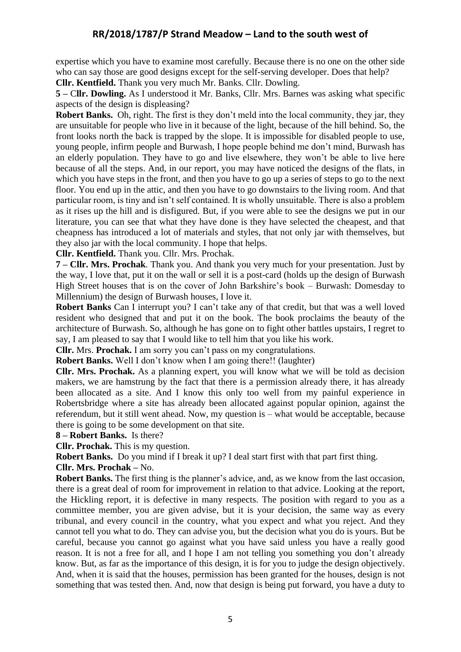expertise which you have to examine most carefully. Because there is no one on the other side who can say those are good designs except for the self-serving developer. Does that help?

**Cllr. Kentfield.** Thank you very much Mr. Banks. Cllr. Dowling.

**5 –** C**llr. Dowling.** As I understood it Mr. Banks, Cllr. Mrs. Barnes was asking what specific aspects of the design is displeasing?

**Robert Banks.** Oh, right. The first is they don't meld into the local community, they jar, they are unsuitable for people who live in it because of the light, because of the hill behind. So, the front looks north the back is trapped by the slope. It is impossible for disabled people to use, young people, infirm people and Burwash, I hope people behind me don't mind, Burwash has an elderly population. They have to go and live elsewhere, they won't be able to live here because of all the steps. And, in our report, you may have noticed the designs of the flats, in which you have steps in the front, and then you have to go up a series of steps to go to the next floor. You end up in the attic, and then you have to go downstairs to the living room. And that particular room, is tiny and isn't self contained. It is wholly unsuitable. There is also a problem as it rises up the hill and is disfigured. But, if you were able to see the designs we put in our literature, you can see that what they have done is they have selected the cheapest, and that cheapness has introduced a lot of materials and styles, that not only jar with themselves, but they also jar with the local community. I hope that helps.

**Cllr. Kentfield.** Thank you. Cllr. Mrs. Prochak.

**7 – Cllr. Mrs. Prochak**. Thank you. And thank you very much for your presentation. Just by the way, I love that, put it on the wall or sell it is a post-card (holds up the design of Burwash High Street houses that is on the cover of John Barkshire's book – Burwash: Domesday to Millennium) the design of Burwash houses, I love it.

**Robert Banks** Can I interrupt you? I can't take any of that credit, but that was a well loved resident who designed that and put it on the book. The book proclaims the beauty of the architecture of Burwash. So, although he has gone on to fight other battles upstairs, I regret to say, I am pleased to say that I would like to tell him that you like his work.

**Cllr.** Mrs. **Prochak.** I am sorry you can't pass on my congratulations.

**Robert Banks.** Well I don't know when I am going there!! (laughter)

**Cllr. Mrs. Prochak.** As a planning expert, you will know what we will be told as decision makers, we are hamstrung by the fact that there is a permission already there, it has already been allocated as a site. And I know this only too well from my painful experience in Robertsbridge where a site has already been allocated against popular opinion, against the referendum, but it still went ahead. Now, my question is – what would be acceptable, because there is going to be some development on that site.

**8 – Robert Banks.** Is there?

**Cllr. Prochak.** This is my question.

**Robert Banks.** Do you mind if I break it up? I deal start first with that part first thing.

**Cllr. Mrs. Prochak –** No.

**Robert Banks.** The first thing is the planner's advice, and, as we know from the last occasion, there is a great deal of room for improvement in relation to that advice. Looking at the report, the Hickling report, it is defective in many respects. The position with regard to you as a committee member, you are given advise, but it is your decision, the same way as every tribunal, and every council in the country, what you expect and what you reject. And they cannot tell you what to do. They can advise you, but the decision what you do is yours. But be careful, because you cannot go against what you have said unless you have a really good reason. It is not a free for all, and I hope I am not telling you something you don't already know. But, as far as the importance of this design, it is for you to judge the design objectively. And, when it is said that the houses, permission has been granted for the houses, design is not something that was tested then. And, now that design is being put forward, you have a duty to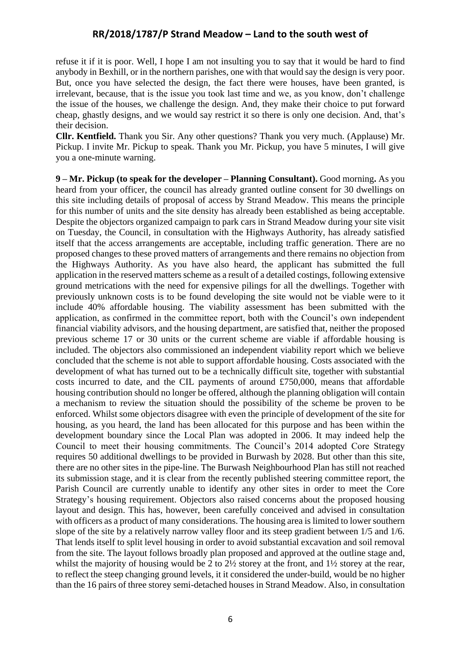refuse it if it is poor. Well, I hope I am not insulting you to say that it would be hard to find anybody in Bexhill, or in the northern parishes, one with that would say the design is very poor. But, once you have selected the design, the fact there were houses, have been granted, is irrelevant, because, that is the issue you took last time and we, as you know, don't challenge the issue of the houses, we challenge the design. And, they make their choice to put forward cheap, ghastly designs, and we would say restrict it so there is only one decision. And, that's their decision.

**Cllr. Kentfield.** Thank you Sir. Any other questions? Thank you very much. (Applause) Mr. Pickup. I invite Mr. Pickup to speak. Thank you Mr. Pickup, you have 5 minutes, I will give you a one-minute warning.

**9 – Mr. Pickup (to speak for the developer – Planning Consultant).** Good morning**.** As you heard from your officer, the council has already granted outline consent for 30 dwellings on this site including details of proposal of access by Strand Meadow. This means the principle for this number of units and the site density has already been established as being acceptable. Despite the objectors organized campaign to park cars in Strand Meadow during your site visit on Tuesday, the Council, in consultation with the Highways Authority, has already satisfied itself that the access arrangements are acceptable, including traffic generation. There are no proposed changes to these proved matters of arrangements and there remains no objection from the Highways Authority. As you have also heard, the applicant has submitted the full application in the reserved matters scheme as a result of a detailed costings, following extensive ground metrications with the need for expensive pilings for all the dwellings. Together with previously unknown costs is to be found developing the site would not be viable were to it include 40% affordable housing. The viability assessment has been submitted with the application, as confirmed in the committee report, both with the Council's own independent financial viability advisors, and the housing department, are satisfied that, neither the proposed previous scheme 17 or 30 units or the current scheme are viable if affordable housing is included. The objectors also commissioned an independent viability report which we believe concluded that the scheme is not able to support affordable housing. Costs associated with the development of what has turned out to be a technically difficult site, together with substantial costs incurred to date, and the CIL payments of around £750,000, means that affordable housing contribution should no longer be offered, although the planning obligation will contain a mechanism to review the situation should the possibility of the scheme be proven to be enforced. Whilst some objectors disagree with even the principle of development of the site for housing, as you heard, the land has been allocated for this purpose and has been within the development boundary since the Local Plan was adopted in 2006. It may indeed help the Council to meet their housing commitments. The Council's 2014 adopted Core Strategy requires 50 additional dwellings to be provided in Burwash by 2028. But other than this site, there are no other sites in the pipe-line. The Burwash Neighbourhood Plan has still not reached its submission stage, and it is clear from the recently published steering committee report, the Parish Council are currently unable to identify any other sites in order to meet the Core Strategy's housing requirement. Objectors also raised concerns about the proposed housing layout and design. This has, however, been carefully conceived and advised in consultation with officers as a product of many considerations. The housing area is limited to lower southern slope of the site by a relatively narrow valley floor and its steep gradient between 1/5 and 1/6. That lends itself to split level housing in order to avoid substantial excavation and soil removal from the site. The layout follows broadly plan proposed and approved at the outline stage and, whilst the majority of housing would be 2 to 2½ storey at the front, and 1½ storey at the rear, to reflect the steep changing ground levels, it it considered the under-build, would be no higher than the 16 pairs of three storey semi-detached houses in Strand Meadow. Also, in consultation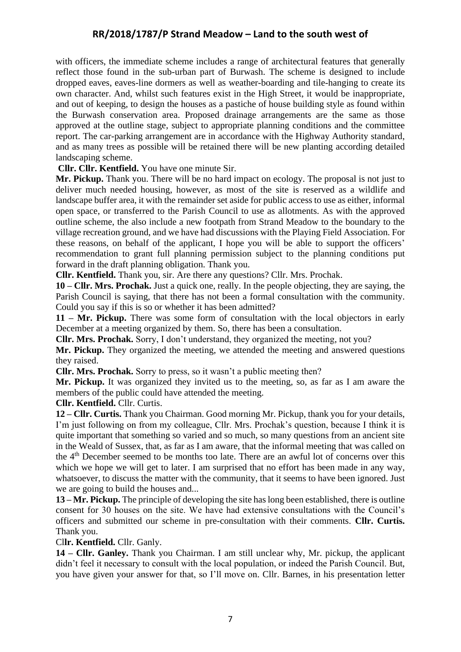with officers, the immediate scheme includes a range of architectural features that generally reflect those found in the sub-urban part of Burwash. The scheme is designed to include dropped eaves, eaves-line dormers as well as weather-boarding and tile-hanging to create its own character. And, whilst such features exist in the High Street, it would be inappropriate, and out of keeping, to design the houses as a pastiche of house building style as found within the Burwash conservation area. Proposed drainage arrangements are the same as those approved at the outline stage, subject to appropriate planning conditions and the committee report. The car-parking arrangement are in accordance with the Highway Authority standard, and as many trees as possible will be retained there will be new planting according detailed landscaping scheme.

**Cllr. Cllr. Kentfield.** You have one minute Sir.

**Mr. Pickup.** Thank you. There will be no hard impact on ecology. The proposal is not just to deliver much needed housing, however, as most of the site is reserved as a wildlife and landscape buffer area, it with the remainder set aside for public access to use as either, informal open space, or transferred to the Parish Council to use as allotments. As with the approved outline scheme, the also include a new footpath from Strand Meadow to the boundary to the village recreation ground, and we have had discussions with the Playing Field Association. For these reasons, on behalf of the applicant, I hope you will be able to support the officers' recommendation to grant full planning permission subject to the planning conditions put forward in the draft planning obligation. Thank you.

**Cllr. Kentfield.** Thank you, sir. Are there any questions? Cllr. Mrs. Prochak.

**10 – Cllr. Mrs. Prochak.** Just a quick one, really. In the people objecting, they are saying, the Parish Council is saying, that there has not been a formal consultation with the community. Could you say if this is so or whether it has been admitted?

**11 – Mr. Pickup.** There was some form of consultation with the local objectors in early December at a meeting organized by them. So, there has been a consultation.

**Cllr. Mrs. Prochak.** Sorry, I don't understand, they organized the meeting, not you?

**Mr. Pickup.** They organized the meeting, we attended the meeting and answered questions they raised.

**Cllr. Mrs. Prochak.** Sorry to press, so it wasn't a public meeting then?

**Mr. Pickup.** It was organized they invited us to the meeting, so, as far as I am aware the members of the public could have attended the meeting.

**Cllr. Kentfield.** Cllr. Curtis.

**12 – Cllr. Curtis.** Thank you Chairman. Good morning Mr. Pickup, thank you for your details, I'm just following on from my colleague, Cllr. Mrs. Prochak's question, because I think it is quite important that something so varied and so much, so many questions from an ancient site in the Weald of Sussex, that, as far as I am aware, that the informal meeting that was called on the 4th December seemed to be months too late. There are an awful lot of concerns over this which we hope we will get to later. I am surprised that no effort has been made in any way, whatsoever, to discuss the matter with the community, that it seems to have been ignored. Just we are going to build the houses and...

**13 – Mr. Pickup.** The principle of developing the site has long been established, there is outline consent for 30 houses on the site. We have had extensive consultations with the Council's officers and submitted our scheme in pre-consultation with their comments. **Cllr. Curtis.** Thank you.

Cl**lr. Kentfield.** Cllr. Ganly.

**14 – Cllr. Ganley.** Thank you Chairman. I am still unclear why, Mr. pickup, the applicant didn't feel it necessary to consult with the local population, or indeed the Parish Council. But, you have given your answer for that, so I'll move on. Cllr. Barnes, in his presentation letter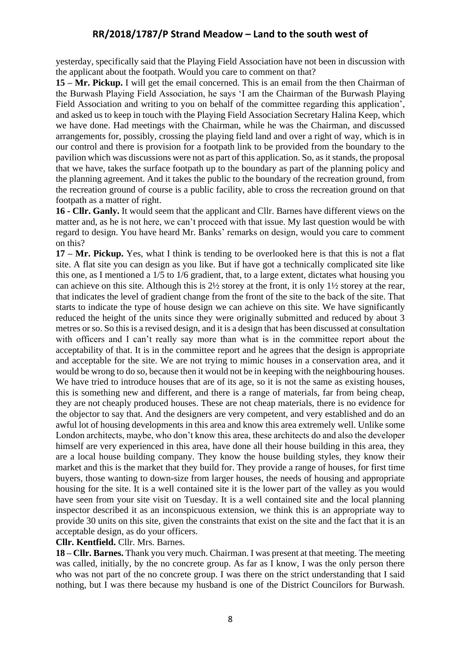yesterday, specifically said that the Playing Field Association have not been in discussion with the applicant about the footpath. Would you care to comment on that?

**15 – Mr. Pickup.** I will get the email concerned. This is an email from the then Chairman of the Burwash Playing Field Association, he says 'I am the Chairman of the Burwash Playing Field Association and writing to you on behalf of the committee regarding this application', and asked us to keep in touch with the Playing Field Association Secretary Halina Keep, which we have done. Had meetings with the Chairman, while he was the Chairman, and discussed arrangements for, possibly, crossing the playing field land and over a right of way, which is in our control and there is provision for a footpath link to be provided from the boundary to the pavilion which was discussions were not as part of this application. So, as it stands, the proposal that we have, takes the surface footpath up to the boundary as part of the planning policy and the planning agreement. And it takes the public to the boundary of the recreation ground, from the recreation ground of course is a public facility, able to cross the recreation ground on that footpath as a matter of right.

**16 - Cllr. Ganly.** It would seem that the applicant and Cllr. Barnes have different views on the matter and, as he is not here, we can't proceed with that issue. My last question would be with regard to design. You have heard Mr. Banks' remarks on design, would you care to comment on this?

**17 – Mr. Pickup.** Yes, what I think is tending to be overlooked here is that this is not a flat site. A flat site you can design as you like. But if have got a technically complicated site like this one, as I mentioned a 1/5 to 1/6 gradient, that, to a large extent, dictates what housing you can achieve on this site. Although this is 2½ storey at the front, it is only 1½ storey at the rear, that indicates the level of gradient change from the front of the site to the back of the site. That starts to indicate the type of house design we can achieve on this site. We have significantly reduced the height of the units since they were originally submitted and reduced by about 3 metres or so. So this is a revised design, and it is a design that has been discussed at consultation with officers and I can't really say more than what is in the committee report about the acceptability of that. It is in the committee report and he agrees that the design is appropriate and acceptable for the site. We are not trying to mimic houses in a conservation area, and it would be wrong to do so, because then it would not be in keeping with the neighbouring houses. We have tried to introduce houses that are of its age, so it is not the same as existing houses, this is something new and different, and there is a range of materials, far from being cheap, they are not cheaply produced houses. These are not cheap materials, there is no evidence for the objector to say that. And the designers are very competent, and very established and do an awful lot of housing developments in this area and know this area extremely well. Unlike some London architects, maybe, who don't know this area, these architects do and also the developer himself are very experienced in this area, have done all their house building in this area, they are a local house building company. They know the house building styles, they know their market and this is the market that they build for. They provide a range of houses, for first time buyers, those wanting to down-size from larger houses, the needs of housing and appropriate housing for the site. It is a well contained site it is the lower part of the valley as you would have seen from your site visit on Tuesday. It is a well contained site and the local planning inspector described it as an inconspicuous extension, we think this is an appropriate way to provide 30 units on this site, given the constraints that exist on the site and the fact that it is an acceptable design, as do your officers.

**Cllr. Kentfield.** Cllr. Mrs. Barnes.

**18 – Cllr. Barnes.** Thank you very much. Chairman. I was present at that meeting. The meeting was called, initially, by the no concrete group. As far as I know, I was the only person there who was not part of the no concrete group. I was there on the strict understanding that I said nothing, but I was there because my husband is one of the District Councilors for Burwash.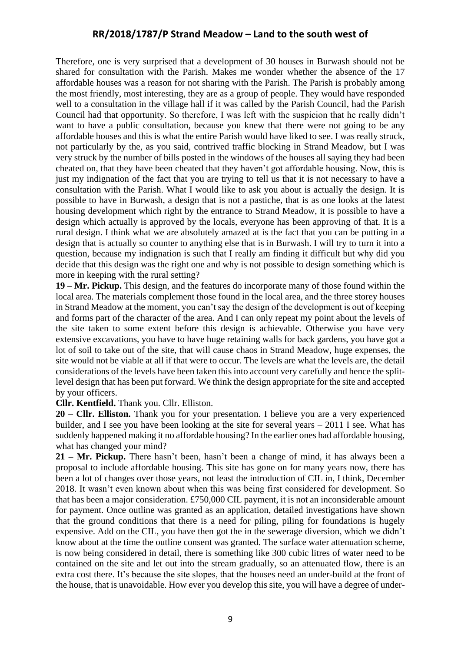Therefore, one is very surprised that a development of 30 houses in Burwash should not be shared for consultation with the Parish. Makes me wonder whether the absence of the 17 affordable houses was a reason for not sharing with the Parish. The Parish is probably among the most friendly, most interesting, they are as a group of people. They would have responded well to a consultation in the village hall if it was called by the Parish Council, had the Parish Council had that opportunity. So therefore, I was left with the suspicion that he really didn't want to have a public consultation, because you knew that there were not going to be any affordable houses and this is what the entire Parish would have liked to see. I was really struck, not particularly by the, as you said, contrived traffic blocking in Strand Meadow, but I was very struck by the number of bills posted in the windows of the houses all saying they had been cheated on, that they have been cheated that they haven't got affordable housing. Now, this is just my indignation of the fact that you are trying to tell us that it is not necessary to have a consultation with the Parish. What I would like to ask you about is actually the design. It is possible to have in Burwash, a design that is not a pastiche, that is as one looks at the latest housing development which right by the entrance to Strand Meadow, it is possible to have a design which actually is approved by the locals, everyone has been approving of that. It is a rural design. I think what we are absolutely amazed at is the fact that you can be putting in a design that is actually so counter to anything else that is in Burwash. I will try to turn it into a question, because my indignation is such that I really am finding it difficult but why did you decide that this design was the right one and why is not possible to design something which is more in keeping with the rural setting?

**19 – Mr. Pickup.** This design, and the features do incorporate many of those found within the local area. The materials complement those found in the local area, and the three storey houses in Strand Meadow at the moment, you can't say the design of the development is out of keeping and forms part of the character of the area. And I can only repeat my point about the levels of the site taken to some extent before this design is achievable. Otherwise you have very extensive excavations, you have to have huge retaining walls for back gardens, you have got a lot of soil to take out of the site, that will cause chaos in Strand Meadow, huge expenses, the site would not be viable at all if that were to occur. The levels are what the levels are, the detail considerations of the levels have been taken this into account very carefully and hence the splitlevel design that has been put forward. We think the design appropriate for the site and accepted by your officers.

#### **Cllr. Kentfield.** Thank you. Cllr. Elliston.

**20 – Cllr. Elliston.** Thank you for your presentation. I believe you are a very experienced builder, and I see you have been looking at the site for several years – 2011 I see. What has suddenly happened making it no affordable housing? In the earlier ones had affordable housing, what has changed your mind?

**21 – Mr. Pickup.** There hasn't been, hasn't been a change of mind, it has always been a proposal to include affordable housing. This site has gone on for many years now, there has been a lot of changes over those years, not least the introduction of CIL in, I think, December 2018. It wasn't even known about when this was being first considered for development. So that has been a major consideration. £750,000 CIL payment, it is not an inconsiderable amount for payment. Once outline was granted as an application, detailed investigations have shown that the ground conditions that there is a need for piling, piling for foundations is hugely expensive. Add on the CIL, you have then got the in the sewerage diversion, which we didn't know about at the time the outline consent was granted. The surface water attenuation scheme, is now being considered in detail, there is something like 300 cubic litres of water need to be contained on the site and let out into the stream gradually, so an attenuated flow, there is an extra cost there. It's because the site slopes, that the houses need an under-build at the front of the house, that is unavoidable. How ever you develop this site, you will have a degree of under-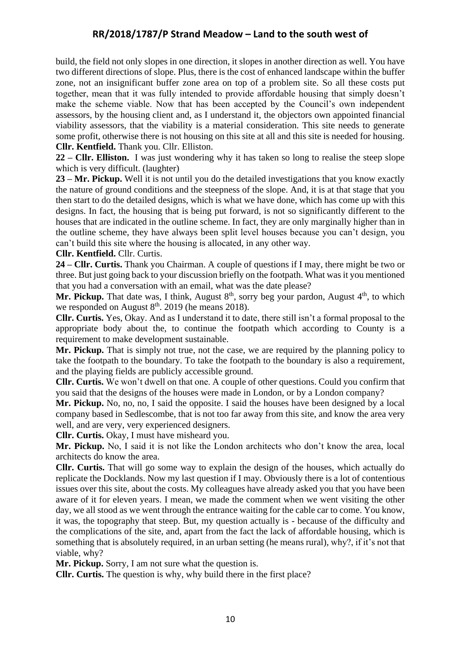build, the field not only slopes in one direction, it slopes in another direction as well. You have two different directions of slope. Plus, there is the cost of enhanced landscape within the buffer zone, not an insignificant buffer zone area on top of a problem site. So all these costs put together, mean that it was fully intended to provide affordable housing that simply doesn't make the scheme viable. Now that has been accepted by the Council's own independent assessors, by the housing client and, as I understand it, the objectors own appointed financial viability assessors, that the viability is a material consideration. This site needs to generate some profit, otherwise there is not housing on this site at all and this site is needed for housing. **Cllr. Kentfield.** Thank you. Cllr. Elliston.

**22 – Cllr. Elliston.** I was just wondering why it has taken so long to realise the steep slope which is very difficult. (laughter)

**23 – Mr. Pickup.** Well it is not until you do the detailed investigations that you know exactly the nature of ground conditions and the steepness of the slope. And, it is at that stage that you then start to do the detailed designs, which is what we have done, which has come up with this designs. In fact, the housing that is being put forward, is not so significantly different to the houses that are indicated in the outline scheme. In fact, they are only marginally higher than in the outline scheme, they have always been split level houses because you can't design, you can't build this site where the housing is allocated, in any other way.

**Cllr. Kentfield.** Cllr. Curtis.

**24 – Cllr. Curtis.** Thank you Chairman. A couple of questions if I may, there might be two or three. But just going back to your discussion briefly on the footpath. What was it you mentioned that you had a conversation with an email, what was the date please?

Mr. Pickup. That date was, I think, August 8<sup>th</sup>, sorry beg your pardon, August 4<sup>th</sup>, to which we responded on August  $8<sup>th</sup>$ . 2019 (he means 2018).

**Cllr. Curtis.** Yes, Okay. And as I understand it to date, there still isn't a formal proposal to the appropriate body about the, to continue the footpath which according to County is a requirement to make development sustainable.

**Mr. Pickup.** That is simply not true, not the case, we are required by the planning policy to take the footpath to the boundary. To take the footpath to the boundary is also a requirement, and the playing fields are publicly accessible ground.

**Cllr. Curtis.** We won't dwell on that one. A couple of other questions. Could you confirm that you said that the designs of the houses were made in London, or by a London company?

**Mr. Pickup.** No, no, no, I said the opposite. I said the houses have been designed by a local company based in Sedlescombe, that is not too far away from this site, and know the area very well, and are very, very experienced designers.

**Cllr. Curtis.** Okay, I must have misheard you.

**Mr. Pickup.** No, I said it is not like the London architects who don't know the area, local architects do know the area.

**Cllr. Curtis.** That will go some way to explain the design of the houses, which actually do replicate the Docklands. Now my last question if I may. Obviously there is a lot of contentious issues over this site, about the costs. My colleagues have already asked you that you have been aware of it for eleven years. I mean, we made the comment when we went visiting the other day, we all stood as we went through the entrance waiting for the cable car to come. You know, it was, the topography that steep. But, my question actually is - because of the difficulty and the complications of the site, and, apart from the fact the lack of affordable housing, which is something that is absolutely required, in an urban setting (he means rural), why?, if it's not that viable, why?

**Mr. Pickup.** Sorry, I am not sure what the question is.

**Cllr. Curtis.** The question is why, why build there in the first place?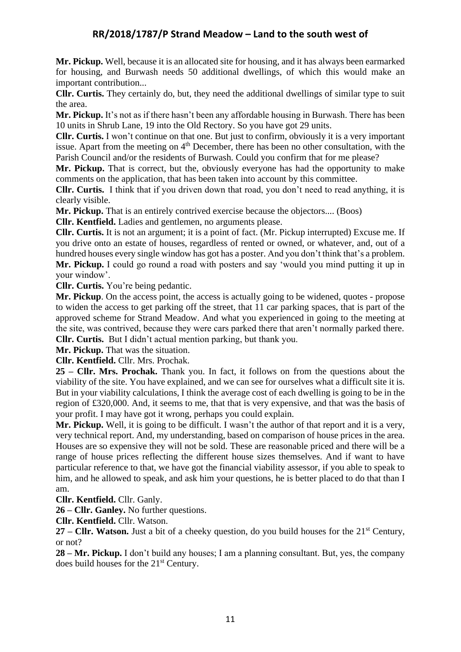**Mr. Pickup.** Well, because it is an allocated site for housing, and it has always been earmarked for housing, and Burwash needs 50 additional dwellings, of which this would make an important contribution...

**Cllr. Curtis.** They certainly do, but, they need the additional dwellings of similar type to suit the area.

**Mr. Pickup.** It's not as if there hasn't been any affordable housing in Burwash. There has been 10 units in Shrub Lane, 19 into the Old Rectory. So you have got 29 units.

**Cllr. Curtis.** I won't continue on that one. But just to confirm, obviously it is a very important issue. Apart from the meeting on  $4<sup>th</sup>$  December, there has been no other consultation, with the Parish Council and/or the residents of Burwash. Could you confirm that for me please?

**Mr. Pickup.** That is correct, but the, obviously everyone has had the opportunity to make comments on the application, that has been taken into account by this committee.

**Cllr. Curtis.** I think that if you driven down that road, you don't need to read anything, it is clearly visible.

**Mr. Pickup.** That is an entirely contrived exercise because the objectors.... (Boos)

**Cllr. Kentfield.** Ladies and gentlemen, no arguments please.

**Cllr. Curtis.** It is not an argument; it is a point of fact. (Mr. Pickup interrupted) Excuse me. If you drive onto an estate of houses, regardless of rented or owned, or whatever, and, out of a hundred houses every single window has got has a poster. And you don't think that's a problem. **Mr. Pickup.** I could go round a road with posters and say 'would you mind putting it up in your window'.

**Cllr. Curtis.** You're being pedantic.

**Mr. Pickup**. On the access point, the access is actually going to be widened, quotes - propose to widen the access to get parking off the street, that 11 car parking spaces, that is part of the approved scheme for Strand Meadow. And what you experienced in going to the meeting at the site, was contrived, because they were cars parked there that aren't normally parked there. **Cllr. Curtis.** But I didn't actual mention parking, but thank you.

**Mr. Pickup.** That was the situation.

**Cllr. Kentfield.** Cllr. Mrs. Prochak.

**25 – Cllr. Mrs. Prochak.** Thank you. In fact, it follows on from the questions about the viability of the site. You have explained, and we can see for ourselves what a difficult site it is. But in your viability calculations, I think the average cost of each dwelling is going to be in the region of £320,000. And, it seems to me, that that is very expensive, and that was the basis of your profit. I may have got it wrong, perhaps you could explain.

**Mr. Pickup.** Well, it is going to be difficult. I wasn't the author of that report and it is a very, very technical report. And, my understanding, based on comparison of house prices in the area. Houses are so expensive they will not be sold. These are reasonable priced and there will be a range of house prices reflecting the different house sizes themselves. And if want to have particular reference to that, we have got the financial viability assessor, if you able to speak to him, and he allowed to speak, and ask him your questions, he is better placed to do that than I am.

**Cllr. Kentfield.** Cllr. Ganly.

**26 – Cllr. Ganley.** No further questions.

**Cllr. Kentfield.** Cllr. Watson.

27 – **Cllr. Watson.** Just a bit of a cheeky question, do you build houses for the 21<sup>st</sup> Century, or not?

**28 – Mr. Pickup.** I don't build any houses; I am a planning consultant. But, yes, the company does build houses for the 21<sup>st</sup> Century.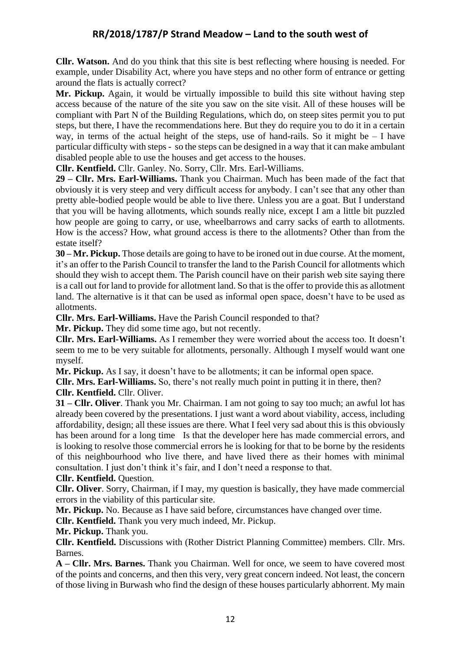**Cllr. Watson.** And do you think that this site is best reflecting where housing is needed. For example, under Disability Act, where you have steps and no other form of entrance or getting around the flats is actually correct?

**Mr. Pickup.** Again, it would be virtually impossible to build this site without having step access because of the nature of the site you saw on the site visit. All of these houses will be compliant with Part N of the Building Regulations, which do, on steep sites permit you to put steps, but there, I have the recommendations here. But they do require you to do it in a certain way, in terms of the actual height of the steps, use of hand-rails. So it might be  $- I$  have particular difficulty with steps - so the steps can be designed in a way that it can make ambulant disabled people able to use the houses and get access to the houses.

**Cllr. Kentfield.** Cllr. Ganley. No. Sorry, Cllr. Mrs. Earl-Williams.

**29 – Cllr. Mrs. Earl-Williams.** Thank you Chairman. Much has been made of the fact that obviously it is very steep and very difficult access for anybody. I can't see that any other than pretty able-bodied people would be able to live there. Unless you are a goat. But I understand that you will be having allotments, which sounds really nice, except I am a little bit puzzled how people are going to carry, or use, wheelbarrows and carry sacks of earth to allotments. How is the access? How, what ground access is there to the allotments? Other than from the estate itself?

**30 – Mr. Pickup.** Those details are going to have to be ironed out in due course. At the moment, it's an offer to the Parish Council to transfer the land to the Parish Council for allotments which should they wish to accept them. The Parish council have on their parish web site saying there is a call out for land to provide for allotment land. So that is the offer to provide this as allotment land. The alternative is it that can be used as informal open space, doesn't have to be used as allotments.

**Cllr. Mrs. Earl-Williams.** Have the Parish Council responded to that?

**Mr. Pickup.** They did some time ago, but not recently.

**Cllr. Mrs. Earl-Williams.** As I remember they were worried about the access too. It doesn't seem to me to be very suitable for allotments, personally. Although I myself would want one myself.

**Mr. Pickup.** As I say, it doesn't have to be allotments; it can be informal open space.

**Cllr. Mrs. Earl-Williams.** So, there's not really much point in putting it in there, then?

**Cllr. Kentfield.** Cllr. Oliver.

**31 – Cllr. Oliver**. Thank you Mr. Chairman. I am not going to say too much; an awful lot has already been covered by the presentations. I just want a word about viability, access, including affordability, design; all these issues are there. What I feel very sad about this is this obviously has been around for a long time Is that the developer here has made commercial errors, and is looking to resolve those commercial errors he is looking for that to be borne by the residents of this neighbourhood who live there, and have lived there as their homes with minimal consultation. I just don't think it's fair, and I don't need a response to that.

#### **Cllr. Kentfield.** Question.

**Cllr. Oliver**. Sorry, Chairman, if I may, my question is basically, they have made commercial errors in the viability of this particular site.

**Mr. Pickup.** No. Because as I have said before, circumstances have changed over time.

**Cllr. Kentfield.** Thank you very much indeed, Mr. Pickup.

**Mr. Pickup.** Thank you.

**Cllr. Kentfield.** Discussions with (Rother District Planning Committee) members. Cllr. Mrs. Barnes.

**A – Cllr. Mrs. Barnes.** Thank you Chairman. Well for once, we seem to have covered most of the points and concerns, and then this very, very great concern indeed. Not least, the concern of those living in Burwash who find the design of these houses particularly abhorrent. My main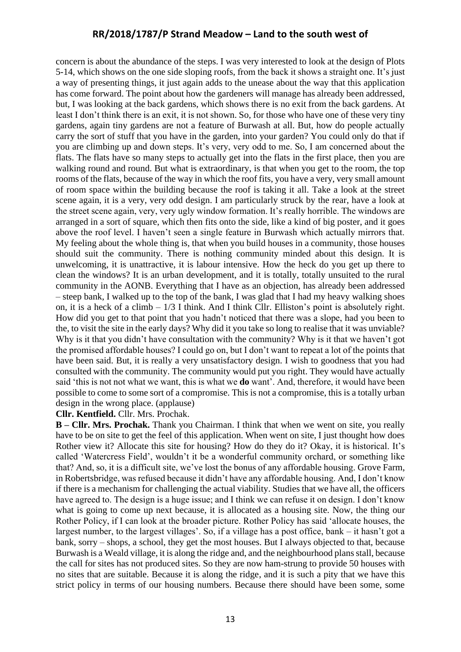concern is about the abundance of the steps. I was very interested to look at the design of Plots 5-14, which shows on the one side sloping roofs, from the back it shows a straight one. It's just a way of presenting things, it just again adds to the unease about the way that this application has come forward. The point about how the gardeners will manage has already been addressed, but, I was looking at the back gardens, which shows there is no exit from the back gardens. At least I don't think there is an exit, it is not shown. So, for those who have one of these very tiny gardens, again tiny gardens are not a feature of Burwash at all. But, how do people actually carry the sort of stuff that you have in the garden, into your garden? You could only do that if you are climbing up and down steps. It's very, very odd to me. So, I am concerned about the flats. The flats have so many steps to actually get into the flats in the first place, then you are walking round and round. But what is extraordinary, is that when you get to the room, the top rooms of the flats, because of the way in which the roof fits, you have a very, very small amount of room space within the building because the roof is taking it all. Take a look at the street scene again, it is a very, very odd design. I am particularly struck by the rear, have a look at the street scene again, very, very ugly window formation. It's really horrible. The windows are arranged in a sort of square, which then fits onto the side, like a kind of big poster, and it goes above the roof level. I haven't seen a single feature in Burwash which actually mirrors that. My feeling about the whole thing is, that when you build houses in a community, those houses should suit the community. There is nothing community minded about this design. It is unwelcoming, it is unattractive, it is labour intensive. How the heck do you get up there to clean the windows? It is an urban development, and it is totally, totally unsuited to the rural community in the AONB. Everything that I have as an objection, has already been addressed – steep bank, I walked up to the top of the bank, I was glad that I had my heavy walking shoes on, it is a heck of a climb – 1/3 I think. And I think Cllr. Elliston's point is absolutely right. How did you get to that point that you hadn't noticed that there was a slope, had you been to the, to visit the site in the early days? Why did it you take so long to realise that it was unviable? Why is it that you didn't have consultation with the community? Why is it that we haven't got the promised affordable houses? I could go on, but I don't want to repeat a lot of the points that have been said. But, it is really a very unsatisfactory design. I wish to goodness that you had consulted with the community. The community would put you right. They would have actually said 'this is not not what we want, this is what we **do** want'. And, therefore, it would have been possible to come to some sort of a compromise. This is not a compromise, this is a totally urban design in the wrong place. (applause)

#### **Cllr. Kentfield.** Cllr. Mrs. Prochak.

**B** – **Cllr. Mrs. Prochak.** Thank you Chairman. I think that when we went on site, you really have to be on site to get the feel of this application. When went on site, I just thought how does Rother view it? Allocate this site for housing? How do they do it? Okay, it is historical. It's called 'Watercress Field', wouldn't it be a wonderful community orchard, or something like that? And, so, it is a difficult site, we've lost the bonus of any affordable housing. Grove Farm, in Robertsbridge, was refused because it didn't have any affordable housing. And, I don't know if there is a mechanism for challenging the actual viability. Studies that we have all, the officers have agreed to. The design is a huge issue; and I think we can refuse it on design. I don't know what is going to come up next because, it is allocated as a housing site. Now, the thing our Rother Policy, if I can look at the broader picture. Rother Policy has said 'allocate houses, the largest number, to the largest villages'. So, if a village has a post office, bank – it hasn't got a bank, sorry – shops, a school, they get the most houses. But I always objected to that, because Burwash is a Weald village, it is along the ridge and, and the neighbourhood plans stall, because the call for sites has not produced sites. So they are now ham-strung to provide 50 houses with no sites that are suitable. Because it is along the ridge, and it is such a pity that we have this strict policy in terms of our housing numbers. Because there should have been some, some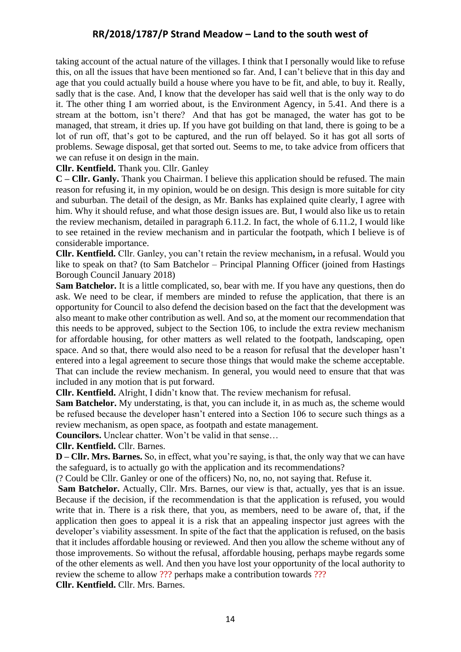taking account of the actual nature of the villages. I think that I personally would like to refuse this, on all the issues that have been mentioned so far. And, I can't believe that in this day and age that you could actually build a house where you have to be fit, and able, to buy it. Really, sadly that is the case. And, I know that the developer has said well that is the only way to do it. The other thing I am worried about, is the Environment Agency, in 5.41. And there is a stream at the bottom, isn't there? And that has got be managed, the water has got to be managed, that stream, it dries up. If you have got building on that land, there is going to be a lot of run off, that's got to be captured, and the run off belayed. So it has got all sorts of problems. Sewage disposal, get that sorted out. Seems to me, to take advice from officers that we can refuse it on design in the main.

#### **Cllr. Kentfield.** Thank you. Cllr. Ganley

**C – Cllr. Ganly.** Thank you Chairman. I believe this application should be refused. The main reason for refusing it, in my opinion, would be on design. This design is more suitable for city and suburban. The detail of the design, as Mr. Banks has explained quite clearly, I agree with him. Why it should refuse, and what those design issues are. But, I would also like us to retain the review mechanism, detailed in paragraph 6.11.2. In fact, the whole of 6.11.2, I would like to see retained in the review mechanism and in particular the footpath, which I believe is of considerable importance.

**Cllr. Kentfield.** Cllr. Ganley, you can't retain the review mechanism**,** in a refusal. Would you like to speak on that? (to Sam Batchelor – Principal Planning Officer (joined from Hastings Borough Council January 2018)

**Sam Batchelor.** It is a little complicated, so, bear with me. If you have any questions, then do ask. We need to be clear, if members are minded to refuse the application, that there is an opportunity for Council to also defend the decision based on the fact that the development was also meant to make other contribution as well. And so, at the moment our recommendation that this needs to be approved, subject to the Section 106, to include the extra review mechanism for affordable housing, for other matters as well related to the footpath, landscaping, open space. And so that, there would also need to be a reason for refusal that the developer hasn't entered into a legal agreement to secure those things that would make the scheme acceptable. That can include the review mechanism. In general, you would need to ensure that that was included in any motion that is put forward.

**Cllr. Kentfield.** Alright, I didn't know that. The review mechanism for refusal.

**Sam Batchelor.** My understating, is that, you can include it, in as much as, the scheme would be refused because the developer hasn't entered into a Section 106 to secure such things as a review mechanism, as open space, as footpath and estate management.

**Councilors.** Unclear chatter. Won't be valid in that sense…

#### **Cllr. Kentfield.** Cllr. Barnes.

**D – Cllr. Mrs. Barnes.** So, in effect, what you're saying, is that, the only way that we can have the safeguard, is to actually go with the application and its recommendations?

(? Could be Cllr. Ganley or one of the officers) No, no, no, not saying that. Refuse it.

**Sam Batchelor.** Actually, Cllr. Mrs. Barnes, our view is that, actually, yes that is an issue. Because if the decision, if the recommendation is that the application is refused, you would write that in. There is a risk there, that you, as members, need to be aware of, that, if the application then goes to appeal it is a risk that an appealing inspector just agrees with the developer's viability assessment. In spite of the fact that the application is refused, on the basis that it includes affordable housing or reviewed. And then you allow the scheme without any of those improvements. So without the refusal, affordable housing, perhaps maybe regards some of the other elements as well. And then you have lost your opportunity of the local authority to review the scheme to allow ??? perhaps make a contribution towards ???

**Cllr. Kentfield.** Cllr. Mrs. Barnes.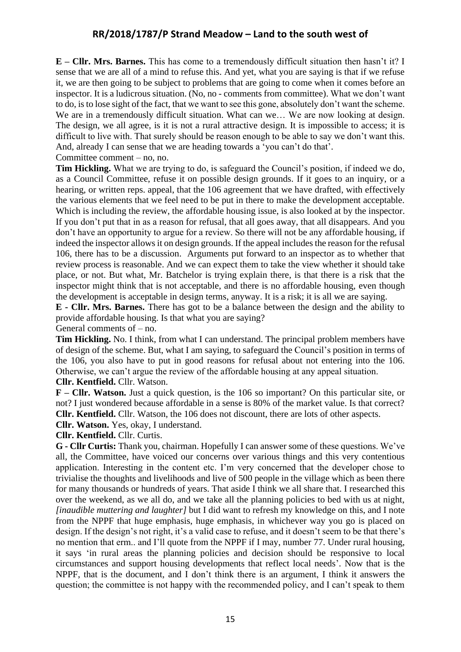**E – Cllr. Mrs. Barnes.** This has come to a tremendously difficult situation then hasn't it? I sense that we are all of a mind to refuse this. And yet, what you are saying is that if we refuse it, we are then going to be subject to problems that are going to come when it comes before an inspector. It is a ludicrous situation. (No, no - comments from committee). What we don't want to do, is to lose sight of the fact, that we want to see this gone, absolutely don't want the scheme. We are in a tremendously difficult situation. What can we... We are now looking at design. The design, we all agree, is it is not a rural attractive design. It is impossible to access; it is difficult to live with. That surely should be reason enough to be able to say we don't want this. And, already I can sense that we are heading towards a 'you can't do that'.

Committee comment – no, no.

**Tim Hickling.** What we are trying to do, is safeguard the Council's position, if indeed we do, as a Council Committee, refuse it on possible design grounds. If it goes to an inquiry, or a hearing, or written reps. appeal, that the 106 agreement that we have drafted, with effectively the various elements that we feel need to be put in there to make the development acceptable. Which is including the review, the affordable housing issue, is also looked at by the inspector. If you don't put that in as a reason for refusal, that all goes away, that all disappears. And you don't have an opportunity to argue for a review. So there will not be any affordable housing, if indeed the inspector allows it on design grounds. If the appeal includes the reason for the refusal 106, there has to be a discussion. Arguments put forward to an inspector as to whether that review process is reasonable. And we can expect them to take the view whether it should take place, or not. But what, Mr. Batchelor is trying explain there, is that there is a risk that the inspector might think that is not acceptable, and there is no affordable housing, even though the development is acceptable in design terms, anyway. It is a risk; it is all we are saying.

**E - Cllr. Mrs. Barnes.** There has got to be a balance between the design and the ability to provide affordable housing. Is that what you are saying?

General comments of – no.

**Tim Hickling.** No. I think, from what I can understand. The principal problem members have of design of the scheme. But, what I am saying, to safeguard the Council's position in terms of the 106, you also have to put in good reasons for refusal about not entering into the 106. Otherwise, we can't argue the review of the affordable housing at any appeal situation. **Cllr. Kentfield.** Cllr. Watson.

**F – Cllr. Watson.** Just a quick question, is the 106 so important? On this particular site, or not? I just wondered because affordable in a sense is 80% of the market value. Is that correct? **Cllr. Kentfield.** Cllr. Watson, the 106 does not discount, there are lots of other aspects.

**Cllr. Watson.** Yes, okay, I understand.

**Cllr. Kentfield.** Cllr. Curtis.

**G - Cllr Curtis:** Thank you, chairman. Hopefully I can answer some of these questions. We've all, the Committee, have voiced our concerns over various things and this very contentious application. Interesting in the content etc. I'm very concerned that the developer chose to trivialise the thoughts and livelihoods and live of 500 people in the village which as been there for many thousands or hundreds of years. That aside I think we all share that. I researched this over the weekend, as we all do, and we take all the planning policies to bed with us at night, *[inaudible muttering and laughter]* but I did want to refresh my knowledge on this, and I note from the NPPF that huge emphasis, huge emphasis, in whichever way you go is placed on design. If the design's not right, it's a valid case to refuse, and it doesn't seem to be that there's no mention that erm.. and I'll quote from the NPPF if I may, number 77. Under rural housing, it says 'in rural areas the planning policies and decision should be responsive to local circumstances and support housing developments that reflect local needs'. Now that is the NPPF, that is the document, and I don't think there is an argument, I think it answers the question; the committee is not happy with the recommended policy, and I can't speak to them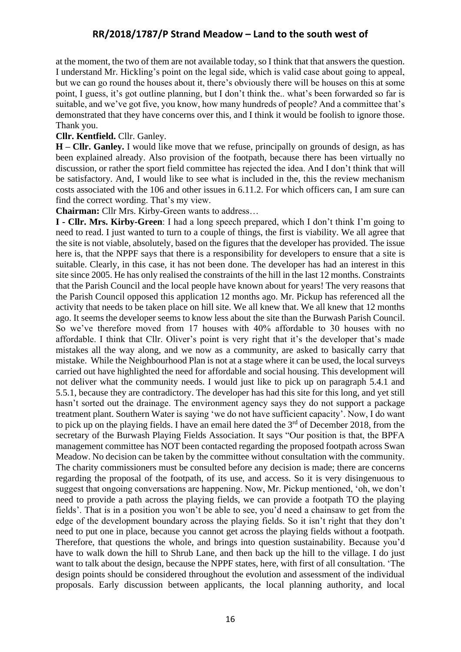at the moment, the two of them are not available today, so I think that that answers the question. I understand Mr. Hickling's point on the legal side, which is valid case about going to appeal, but we can go round the houses about it, there's obviously there will be houses on this at some point, I guess, it's got outline planning, but I don't think the.. what's been forwarded so far is suitable, and we've got five, you know, how many hundreds of people? And a committee that's demonstrated that they have concerns over this, and I think it would be foolish to ignore those. Thank you.

#### **Cllr. Kentfield.** Cllr. Ganley.

**H – Cllr. Ganley.** I would like move that we refuse, principally on grounds of design, as has been explained already. Also provision of the footpath, because there has been virtually no discussion, or rather the sport field committee has rejected the idea. And I don't think that will be satisfactory. And, I would like to see what is included in the, this the review mechanism costs associated with the 106 and other issues in 6.11.2. For which officers can, I am sure can find the correct wording. That's my view.

**Chairman:** Cllr Mrs. Kirby-Green wants to address…

**I - Cllr. Mrs. Kirby-Green**: I had a long speech prepared, which I don't think I'm going to need to read. I just wanted to turn to a couple of things, the first is viability. We all agree that the site is not viable, absolutely, based on the figures that the developer has provided. The issue here is, that the NPPF says that there is a responsibility for developers to ensure that a site is suitable. Clearly, in this case, it has not been done. The developer has had an interest in this site since 2005. He has only realised the constraints of the hill in the last 12 months. Constraints that the Parish Council and the local people have known about for years! The very reasons that the Parish Council opposed this application 12 months ago. Mr. Pickup has referenced all the activity that needs to be taken place on hill site. We all knew that. We all knew that 12 months ago. It seems the developer seems to know less about the site than the Burwash Parish Council. So we've therefore moved from 17 houses with 40% affordable to 30 houses with no affordable. I think that Cllr. Oliver's point is very right that it's the developer that's made mistakes all the way along, and we now as a community, are asked to basically carry that mistake. While the Neighbourhood Plan is not at a stage where it can be used, the local surveys carried out have highlighted the need for affordable and social housing. This development will not deliver what the community needs. I would just like to pick up on paragraph 5.4.1 and 5.5.1, because they are contradictory. The developer has had this site for this long, and yet still hasn't sorted out the drainage. The environment agency says they do not support a package treatment plant. Southern Water is saying 'we do not have sufficient capacity'. Now, I do want to pick up on the playing fields. I have an email here dated the  $3<sup>rd</sup>$  of December 2018, from the secretary of the Burwash Playing Fields Association. It says "Our position is that, the BPFA management committee has NOT been contacted regarding the proposed footpath across Swan Meadow. No decision can be taken by the committee without consultation with the community. The charity commissioners must be consulted before any decision is made; there are concerns regarding the proposal of the footpath, of its use, and access. So it is very disingenuous to suggest that ongoing conversations are happening. Now, Mr. Pickup mentioned, 'oh, we don't need to provide a path across the playing fields, we can provide a footpath TO the playing fields'. That is in a position you won't be able to see, you'd need a chainsaw to get from the edge of the development boundary across the playing fields. So it isn't right that they don't need to put one in place, because you cannot get across the playing fields without a footpath. Therefore, that questions the whole, and brings into question sustainability. Because you'd have to walk down the hill to Shrub Lane, and then back up the hill to the village. I do just want to talk about the design, because the NPPF states, here, with first of all consultation. 'The design points should be considered throughout the evolution and assessment of the individual proposals. Early discussion between applicants, the local planning authority, and local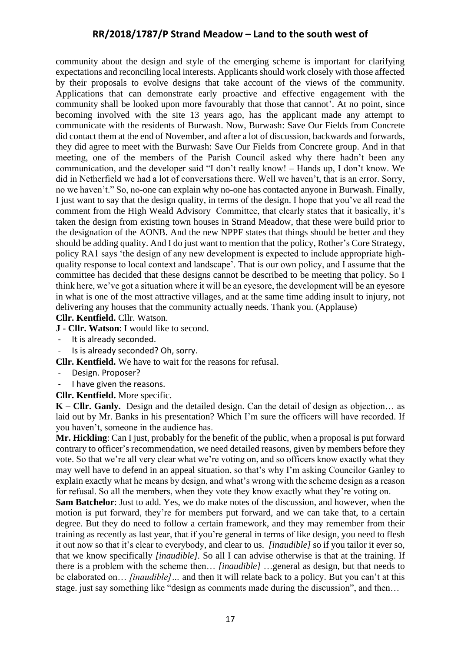community about the design and style of the emerging scheme is important for clarifying expectations and reconciling local interests. Applicants should work closely with those affected by their proposals to evolve designs that take account of the views of the community. Applications that can demonstrate early proactive and effective engagement with the community shall be looked upon more favourably that those that cannot'. At no point, since becoming involved with the site 13 years ago, has the applicant made any attempt to communicate with the residents of Burwash. Now, Burwash: Save Our Fields from Concrete did contact them at the end of November, and after a lot of discussion, backwards and forwards, they did agree to meet with the Burwash: Save Our Fields from Concrete group. And in that meeting, one of the members of the Parish Council asked why there hadn't been any communication, and the developer said "I don't really know! – Hands up, I don't know. We did in Netherfield we had a lot of conversations there. Well we haven't, that is an error. Sorry, no we haven't." So, no-one can explain why no-one has contacted anyone in Burwash. Finally, I just want to say that the design quality, in terms of the design. I hope that you've all read the comment from the High Weald Advisory Committee, that clearly states that it basically, it's taken the design from existing town houses in Strand Meadow, that these were build prior to the designation of the AONB. And the new NPPF states that things should be better and they should be adding quality. And I do just want to mention that the policy, Rother's Core Strategy, policy RA1 says 'the design of any new development is expected to include appropriate highquality response to local context and landscape'. That is our own policy, and I assume that the committee has decided that these designs cannot be described to be meeting that policy. So I think here, we've got a situation where it will be an eyesore, the development will be an eyesore in what is one of the most attractive villages, and at the same time adding insult to injury, not delivering any houses that the community actually needs. Thank you. (Applause)

#### **Cllr. Kentfield.** Cllr. Watson.

**J - Cllr. Watson**: I would like to second.

- It is already seconded.
- Is is already seconded? Oh, sorry.

**Cllr. Kentfield.** We have to wait for the reasons for refusal.

- Design. Proposer?
- I have given the reasons.
- **Cllr. Kentfield.** More specific.

**K – Cllr. Ganly.** Design and the detailed design. Can the detail of design as objection… as laid out by Mr. Banks in his presentation? Which I'm sure the officers will have recorded. If you haven't, someone in the audience has.

**Mr. Hickling**: Can I just, probably for the benefit of the public, when a proposal is put forward contrary to officer's recommendation, we need detailed reasons, given by members before they vote. So that we're all very clear what we're voting on, and so officers know exactly what they may well have to defend in an appeal situation, so that's why I'm asking Councilor Ganley to explain exactly what he means by design, and what's wrong with the scheme design as a reason for refusal. So all the members, when they vote they know exactly what they're voting on.

**Sam Batchelor**: Just to add. Yes, we do make notes of the discussion, and however, when the motion is put forward, they're for members put forward*,* and we can take that, to a certain degree. But they do need to follow a certain framework, and they may remember from their training as recently as last year, that if you're general in terms of like design, you need to flesh it out now so that it's clear to everybody, and clear to us. *[inaudible]* so if you tailor it ever so, that we know specifically *[inaudible].* So all I can advise otherwise is that at the training. If there is a problem with the scheme then… *[inaudible]* …general as design, but that needs to be elaborated on… *[inaudible]…* and then it will relate back to a policy. But you can't at this stage. just say something like "design as comments made during the discussion", and then…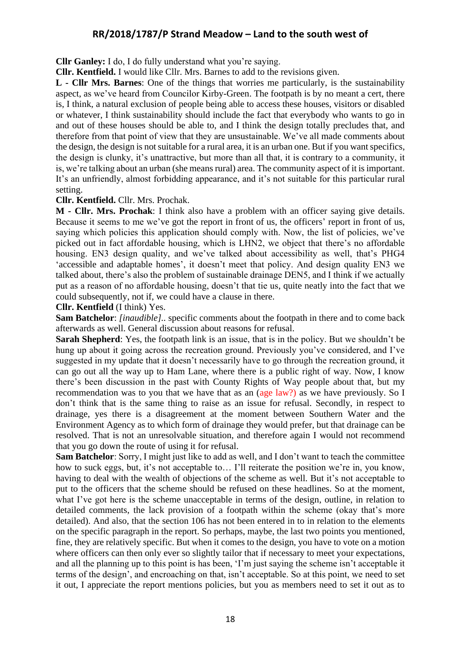**Cllr Ganley:** I do, I do fully understand what you're saying.

**Cllr. Kentfield.** I would like Cllr. Mrs. Barnes to add to the revisions given.

**L - Cllr Mrs. Barnes**: One of the things that worries me particularly, is the sustainability aspect, as we've heard from Councilor Kirby-Green. The footpath is by no meant a cert, there is, I think, a natural exclusion of people being able to access these houses, visitors or disabled or whatever, I think sustainability should include the fact that everybody who wants to go in and out of these houses should be able to, and I think the design totally precludes that, and therefore from that point of view that they are unsustainable. We've all made comments about the design, the design is not suitable for a rural area, it is an urban one. But if you want specifics, the design is clunky, it's unattractive, but more than all that, it is contrary to a community, it is, we're talking about an urban (she means rural) area. The community aspect of it is important. It's an unfriendly, almost forbidding appearance, and it's not suitable for this particular rural setting.

#### **Cllr. Kentfield.** Cllr. Mrs. Prochak.

**M - Cllr. Mrs. Prochak**: I think also have a problem with an officer saying give details. Because it seems to me we've got the report in front of us, the officers' report in front of us, saying which policies this application should comply with. Now, the list of policies, we've picked out in fact affordable housing, which is LHN2, we object that there's no affordable housing. EN3 design quality, and we've talked about accessibility as well, that's PHG4 'accessible and adaptable homes', it doesn't meet that policy. And design quality EN3 we talked about, there's also the problem of sustainable drainage DEN5, and I think if we actually put as a reason of no affordable housing, doesn't that tie us, quite neatly into the fact that we could subsequently, not if, we could have a clause in there.

**Cllr. Kentfield** (I think) Yes.

**Sam Batchelor**: *[inaudible]..* specific comments about the footpath in there and to come back afterwards as well. General discussion about reasons for refusal.

**Sarah Shepherd**: Yes, the footpath link is an issue, that is in the policy. But we shouldn't be hung up about it going across the recreation ground. Previously you've considered, and I've suggested in my update that it doesn't necessarily have to go through the recreation ground, it can go out all the way up to Ham Lane, where there is a public right of way. Now, I know there's been discussion in the past with County Rights of Way people about that, but my recommendation was to you that we have that as an (age law?) as we have previously. So I don't think that is the same thing to raise as an issue for refusal. Secondly, in respect to drainage, yes there is a disagreement at the moment between Southern Water and the Environment Agency as to which form of drainage they would prefer, but that drainage can be resolved. That is not an unresolvable situation, and therefore again I would not recommend that you go down the route of using it for refusal.

**Sam Batchelor**: Sorry, I might just like to add as well, and I don't want to teach the committee how to suck eggs, but, it's not acceptable to… I'll reiterate the position we're in, you know, having to deal with the wealth of objections of the scheme as well. But it's not acceptable to put to the officers that the scheme should be refused on these headlines. So at the moment, what I've got here is the scheme unacceptable in terms of the design, outline, in relation to detailed comments, the lack provision of a footpath within the scheme (okay that's more detailed). And also, that the section 106 has not been entered in to in relation to the elements on the specific paragraph in the report. So perhaps, maybe, the last two points you mentioned, fine, they are relatively specific. But when it comes to the design, you have to vote on a motion where officers can then only ever so slightly tailor that if necessary to meet your expectations, and all the planning up to this point is has been, 'I'm just saying the scheme isn't acceptable it terms of the design', and encroaching on that, isn't acceptable. So at this point, we need to set it out, I appreciate the report mentions policies, but you as members need to set it out as to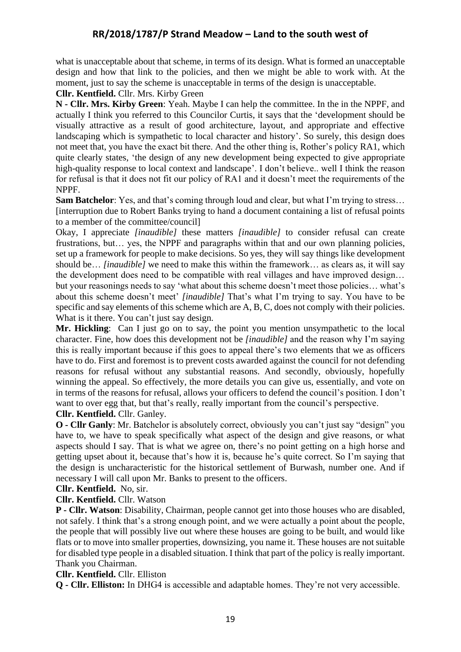what is unacceptable about that scheme, in terms of its design. What is formed an unacceptable design and how that link to the policies, and then we might be able to work with. At the moment, just to say the scheme is unacceptable in terms of the design is unacceptable.

#### **Cllr. Kentfield.** Cllr. Mrs. Kirby Green

**N - Cllr. Mrs. Kirby Green**: Yeah. Maybe I can help the committee. In the in the NPPF, and actually I think you referred to this Councilor Curtis, it says that the 'development should be visually attractive as a result of good architecture, layout, and appropriate and effective landscaping which is sympathetic to local character and history'. So surely, this design does not meet that, you have the exact bit there. And the other thing is, Rother's policy RA1, which quite clearly states, 'the design of any new development being expected to give appropriate high-quality response to local context and landscape'. I don't believe.. well I think the reason for refusal is that it does not fit our policy of RA1 and it doesn't meet the requirements of the NPPF.

**Sam Batchelor**: Yes, and that's coming through loud and clear, but what I'm trying to stress… [interruption due to Robert Banks trying to hand a document containing a list of refusal points to a member of the committee/council]

Okay, I appreciate *[inaudible]* these matters *[inaudible]* to consider refusal can create frustrations, but… yes, the NPPF and paragraphs within that and our own planning policies, set up a framework for people to make decisions. So yes, they will say things like development should be… *[inaudible]* we need to make this within the framework… as clears as, it will say the development does need to be compatible with real villages and have improved design… but your reasonings needs to say 'what about this scheme doesn't meet those policies… what's about this scheme doesn't meet' *[inaudible]* That's what I'm trying to say. You have to be specific and say elements of this scheme which are A, B, C, does not comply with their policies. What is it there. You can't just say design.

**Mr. Hickling**: Can I just go on to say, the point you mention unsympathetic to the local character. Fine, how does this development not be *[inaudible]* and the reason why I'm saying this is really important because if this goes to appeal there's two elements that we as officers have to do. First and foremost is to prevent costs awarded against the council for not defending reasons for refusal without any substantial reasons. And secondly, obviously, hopefully winning the appeal. So effectively, the more details you can give us, essentially, and vote on in terms of the reasons for refusal, allows your officers to defend the council's position. I don't want to over egg that, but that's really, really important from the council's perspective.

#### **Cllr. Kentfield.** Cllr. Ganley.

**O - Cllr Ganly**: Mr. Batchelor is absolutely correct, obviously you can't just say "design" you have to, we have to speak specifically what aspect of the design and give reasons, or what aspects should I say. That is what we agree on, there's no point getting on a high horse and getting upset about it, because that's how it is, because he's quite correct. So I'm saying that the design is uncharacteristic for the historical settlement of Burwash, number one. And if necessary I will call upon Mr. Banks to present to the officers.

#### **Cllr. Kentfield.** No, sir.

### **Cllr. Kentfield.** Cllr. Watson

**P - Cllr. Watson**: Disability, Chairman, people cannot get into those houses who are disabled, not safely. I think that's a strong enough point, and we were actually a point about the people, the people that will possibly live out where these houses are going to be built, and would like flats or to move into smaller properties, downsizing, you name it. These houses are not suitable for disabled type people in a disabled situation. I think that part of the policy is really important. Thank you Chairman.

### **Cllr. Kentfield.** Cllr. Elliston

**Q - Cllr. Elliston:** In DHG4 is accessible and adaptable homes. They're not very accessible.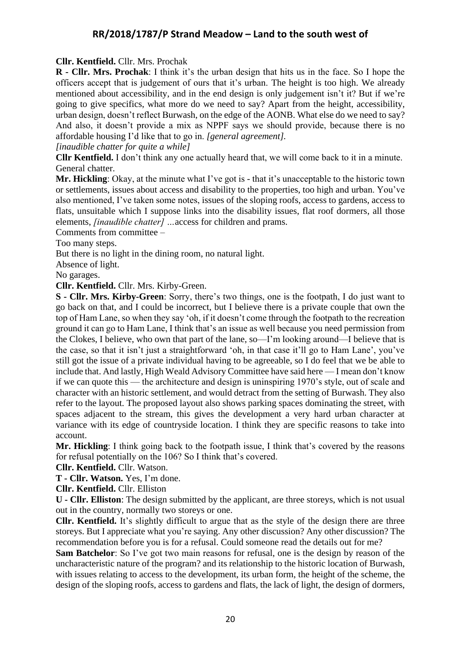### **Cllr. Kentfield.** Cllr. Mrs. Prochak

**R - Cllr. Mrs. Prochak**: I think it's the urban design that hits us in the face. So I hope the officers accept that is judgement of ours that it's urban. The height is too high. We already mentioned about accessibility, and in the end design is only judgement isn't it? But if we're going to give specifics, what more do we need to say? Apart from the height, accessibility, urban design, doesn't reflect Burwash, on the edge of the AONB. What else do we need to say? And also, it doesn't provide a mix as NPPF says we should provide, because there is no affordable housing I'd like that to go in. *[general agreement].* 

*[inaudible chatter for quite a while]*

**Cllr Kentfield.** I don't think any one actually heard that, we will come back to it in a minute. General chatter.

**Mr. Hickling**: Okay, at the minute what I've got is - that it's unacceptable to the historic town or settlements, issues about access and disability to the properties, too high and urban. You've also mentioned, I've taken some notes, issues of the sloping roofs, access to gardens, access to flats, unsuitable which I suppose links into the disability issues, flat roof dormers, all those elements, *[inaudible chatter] …*access for children and prams.

Comments from committee –

Too many steps.

But there is no light in the dining room, no natural light.

Absence of light.

No garages.

**Cllr. Kentfield.** Cllr. Mrs. Kirby-Green.

**S - Cllr. Mrs. Kirby-Green**: Sorry, there's two things, one is the footpath, I do just want to go back on that, and I could be incorrect, but I believe there is a private couple that own the top of Ham Lane, so when they say 'oh, if it doesn't come through the footpath to the recreation ground it can go to Ham Lane, I think that's an issue as well because you need permission from the Clokes, I believe, who own that part of the lane, so—I'm looking around—I believe that is the case, so that it isn't just a straightforward 'oh, in that case it'll go to Ham Lane', you've still got the issue of a private individual having to be agreeable, so I do feel that we be able to include that. And lastly, High Weald Advisory Committee have said here — I mean don't know if we can quote this — the architecture and design is uninspiring 1970's style, out of scale and character with an historic settlement, and would detract from the setting of Burwash. They also refer to the layout. The proposed layout also shows parking spaces dominating the street, with spaces adjacent to the stream, this gives the development a very hard urban character at variance with its edge of countryside location. I think they are specific reasons to take into account.

**Mr. Hickling**: I think going back to the footpath issue, I think that's covered by the reasons for refusal potentially on the 106? So I think that's covered.

**Cllr. Kentfield.** Cllr. Watson.

**T - Cllr. Watson.** Yes, I'm done.

**Cllr. Kentfield.** Cllr. Elliston

**U - Cllr. Elliston**: The design submitted by the applicant, are three storeys, which is not usual out in the country, normally two storeys or one.

**Cllr. Kentfield.** It's slightly difficult to argue that as the style of the design there are three storeys. But I appreciate what you're saying. Any other discussion? Any other discussion? The recommendation before you is for a refusal. Could someone read the details out for me?

**Sam Batchelor**: So I've got two main reasons for refusal, one is the design by reason of the uncharacteristic nature of the program? and its relationship to the historic location of Burwash, with issues relating to access to the development, its urban form, the height of the scheme, the design of the sloping roofs, access to gardens and flats, the lack of light, the design of dormers,